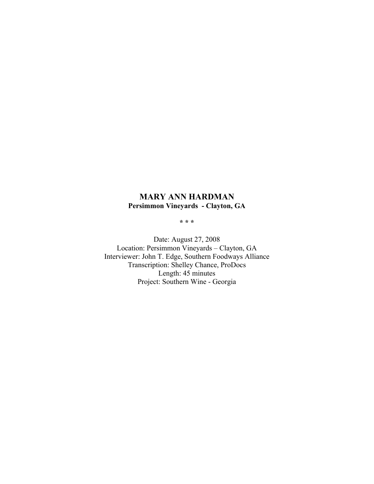## **MARY ANN HARDMAN Persimmon Vineyards - Clayton, GA**

**\* \* \***

Date: August 27, 2008 Location: Persimmon Vineyards – Clayton, GA Interviewer: John T. Edge, Southern Foodways Alliance Transcription: Shelley Chance, ProDocs Length: 45 minutes Project: Southern Wine - Georgia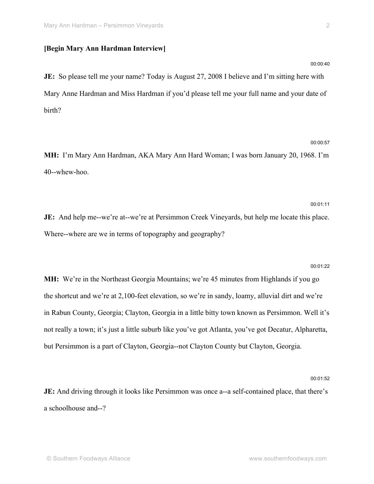## **[Begin Mary Ann Hardman Interview]**

**JE:** So please tell me your name? Today is August 27, 2008 I believe and I'm sitting here with Mary Anne Hardman and Miss Hardman if you'd please tell me your full name and your date of birth?

# 00:00:57

**MH:** I'm Mary Ann Hardman, AKA Mary Ann Hard Woman; I was born January 20, 1968. I'm 40--whew-hoo.

00:01:11 **JE:** And help me--we're at--we're at Persimmon Creek Vineyards, but help me locate this place. Where--where are we in terms of topography and geography?

#### 00:01:22

**MH:** We're in the Northeast Georgia Mountains; we're 45 minutes from Highlands if you go the shortcut and we're at 2,100-feet elevation, so we're in sandy, loamy, alluvial dirt and we're in Rabun County, Georgia; Clayton, Georgia in a little bitty town known as Persimmon. Well it's not really a town; it's just a little suburb like you've got Atlanta, you've got Decatur, Alpharetta, but Persimmon is a part of Clayton, Georgia--not Clayton County but Clayton, Georgia.

00:01:52

**JE:** And driving through it looks like Persimmon was once a--a self-contained place, that there's a schoolhouse and--?

00:00:40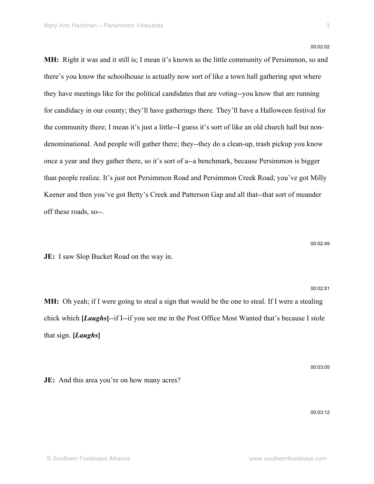00:02:02

**MH:** Right it was and it still is; I mean it's known as the little community of Persimmon, so and there's you know the schoolhouse is actually now sort of like a town hall gathering spot where they have meetings like for the political candidates that are voting--you know that are running for candidacy in our county; they'll have gatherings there. They'll have a Halloween festival for the community there; I mean it's just a little--I guess it's sort of like an old church hall but nondenominational. And people will gather there; they--they do a clean-up, trash pickup you know once a year and they gather there, so it's sort of a--a benchmark, because Persimmon is bigger than people realize. It's just not Persimmon Road and Persimmon Creek Road; you've got Milly Keener and then you've got Betty's Creek and Patterson Gap and all that--that sort of meander off these roads, so--.

00:02:49

00:02:51

**JE:** I saw Slop Bucket Road on the way in.

**MH:** Oh yeah; if I were going to steal a sign that would be the one to steal. If I were a stealing chick which **[***Laughs***]**--if I--if you see me in the Post Office Most Wanted that's because I stole that sign. **[***Laughs***]**

00:03:05

**JE:** And this area you're on how many acres?

00:03:12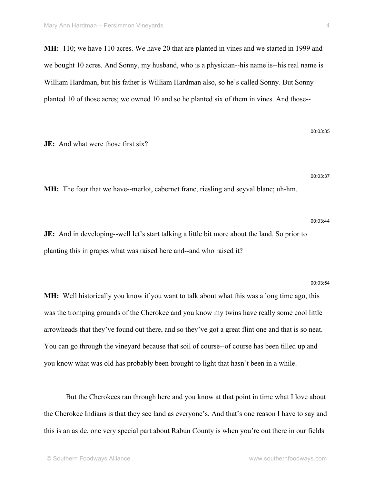**MH:** 110; we have 110 acres. We have 20 that are planted in vines and we started in 1999 and we bought 10 acres. And Sonny, my husband, who is a physician--his name is--his real name is William Hardman, but his father is William Hardman also, so he's called Sonny. But Sonny planted 10 of those acres; we owned 10 and so he planted six of them in vines. And those--

**JE:** And what were those first six?

**MH:** The four that we have--merlot, cabernet franc, riesling and seyval blanc; uh-hm.

**JE:** And in developing--well let's start talking a little bit more about the land. So prior to planting this in grapes what was raised here and--and who raised it?

#### 00:03:54

**MH:** Well historically you know if you want to talk about what this was a long time ago, this was the tromping grounds of the Cherokee and you know my twins have really some cool little arrowheads that they've found out there, and so they've got a great flint one and that is so neat. You can go through the vineyard because that soil of course--of course has been tilled up and you know what was old has probably been brought to light that hasn't been in a while.

But the Cherokees ran through here and you know at that point in time what I love about the Cherokee Indians is that they see land as everyone's. And that's one reason I have to say and this is an aside, one very special part about Rabun County is when you're out there in our fields

00:03:35

00:03:37

00:03:44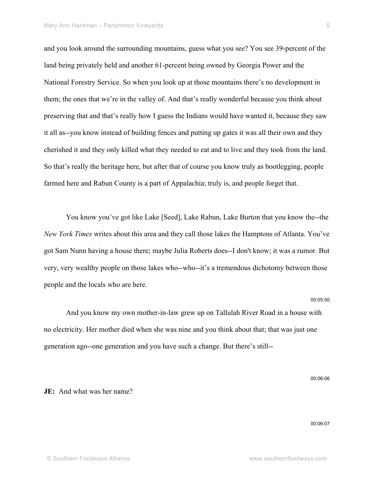and you look around the surrounding mountains, guess what you see? You see 39-percent of the land being privately held and another 61-percent being owned by Georgia Power and the National Forestry Service. So when you look up at those mountains there's no development in them; the ones that we're in the valley of. And that's really wonderful because you think about preserving that and that's really how I guess the Indians would have wanted it, because they saw it all as--you know instead of building fences and putting up gates it was all their own and they cherished it and they only killed what they needed to eat and to live and they took from the land. So that's really the heritage here, but after that of course you know truly as bootlegging, people farmed here and Rabun County is a part of Appalachia; truly is, and people forget that.

You know you've got like Lake [Seed], Lake Rabun, Lake Burton that you know the--the *New York Times* writes about this area and they call those lakes the Hamptons of Atlanta. You've got Sam Nunn having a house there; maybe Julia Roberts does--I don't know; it was a rumor. But very, very wealthy people on those lakes who--who--it's a tremendous dichotomy between those people and the locals who are here.

#### 00:05:50

And you know my own mother-in-law grew up on Tallulah River Road in a house with no electricity. Her mother died when she was nine and you think about that; that was just one generation ago--one generation and you have such a change. But there's still--

00:06:06

## **JE:** And what was her name?

00:06:07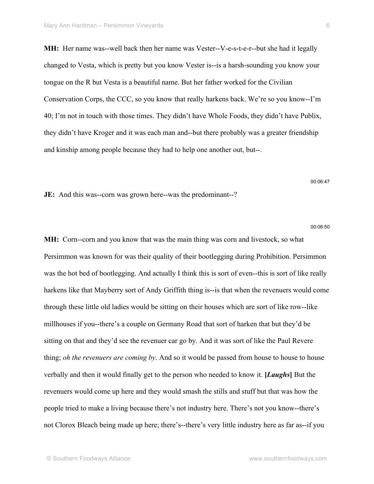**MH:** Her name was--well back then her name was Vester--V-e-s-t-e-r--but she had it legally changed to Vesta, which is pretty but you know Vester is--is a harsh-sounding you know your tongue on the R but Vesta is a beautiful name. But her father worked for the Civilian Conservation Corps, the CCC, so you know that really harkens back. We're so you know--I'm 40; I'm not in touch with those times. They didn't have Whole Foods, they didn't have Publix, they didn't have Kroger and it was each man and--but there probably was a greater friendship and kinship among people because they had to help one another out, but--.

#### 00:06:47

**JE:** And this was--corn was grown here--was the predominant--?

#### 00:06:50

**MH:** Corn--corn and you know that was the main thing was corn and livestock, so what Persimmon was known for was their quality of their bootlegging during Prohibition. Persimmon was the hot bed of bootlegging. And actually I think this is sort of even--this is sort of like really harkens like that Mayberry sort of Andy Griffith thing is--is that when the revenuers would come through these little old ladies would be sitting on their houses which are sort of like row--like millhouses if you--there's a couple on Germany Road that sort of harken that but they'd be sitting on that and they'd see the revenuer car go by. And it was sort of like the Paul Revere thing; *oh the revenuers are coming by*. And so it would be passed from house to house to house verbally and then it would finally get to the person who needed to know it. **[***Laughs***]** But the revenuers would come up here and they would smash the stills and stuff but that was how the people tried to make a living because there's not industry here. There's not you know--there's not Clorox Bleach being made up here; there's--there's very little industry here as far as--if you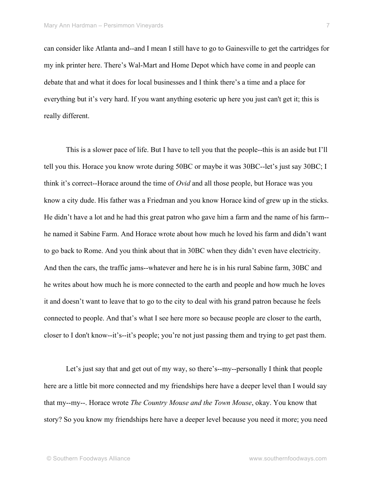can consider like Atlanta and--and I mean I still have to go to Gainesville to get the cartridges for my ink printer here. There's Wal-Mart and Home Depot which have come in and people can debate that and what it does for local businesses and I think there's a time and a place for everything but it's very hard. If you want anything esoteric up here you just can't get it; this is really different.

This is a slower pace of life. But I have to tell you that the people--this is an aside but I'll tell you this. Horace you know wrote during 50BC or maybe it was 30BC--let's just say 30BC; I think it's correct--Horace around the time of *Ovid* and all those people, but Horace was you know a city dude. His father was a Friedman and you know Horace kind of grew up in the sticks. He didn't have a lot and he had this great patron who gave him a farm and the name of his farm- he named it Sabine Farm. And Horace wrote about how much he loved his farm and didn't want to go back to Rome. And you think about that in 30BC when they didn't even have electricity. And then the cars, the traffic jams--whatever and here he is in his rural Sabine farm, 30BC and he writes about how much he is more connected to the earth and people and how much he loves it and doesn't want to leave that to go to the city to deal with his grand patron because he feels connected to people. And that's what I see here more so because people are closer to the earth, closer to I don't know--it's--it's people; you're not just passing them and trying to get past them.

Let's just say that and get out of my way, so there's--my--personally I think that people here are a little bit more connected and my friendships here have a deeper level than I would say that my--my--. Horace wrote *The Country Mouse and the Town Mouse*, okay. You know that story? So you know my friendships here have a deeper level because you need it more; you need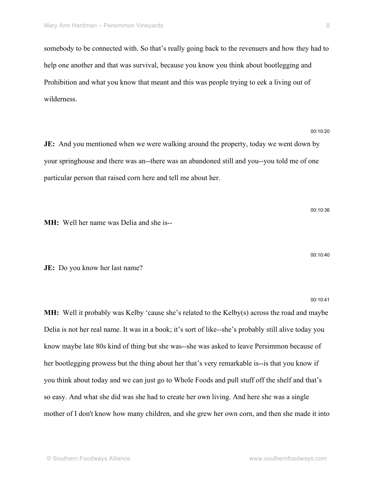somebody to be connected with. So that's really going back to the revenuers and how they had to help one another and that was survival, because you know you think about bootlegging and Prohibition and what you know that meant and this was people trying to eek a living out of wilderness.

**JE:** And you mentioned when we were walking around the property, today we went down by your springhouse and there was an--there was an abandoned still and you--you told me of one particular person that raised corn here and tell me about her.

**MH:** Well her name was Delia and she is--

**JE:** Do you know her last name?

**MH:** Well it probably was Kelby 'cause she's related to the Kelby(s) across the road and maybe Delia is not her real name. It was in a book; it's sort of like--she's probably still alive today you know maybe late 80s kind of thing but she was--she was asked to leave Persimmon because of her bootlegging prowess but the thing about her that's very remarkable is--is that you know if you think about today and we can just go to Whole Foods and pull stuff off the shelf and that's so easy. And what she did was she had to create her own living. And here she was a single mother of I don't know how many children, and she grew her own corn, and then she made it into

00:10:20

00:10:41

00:10:40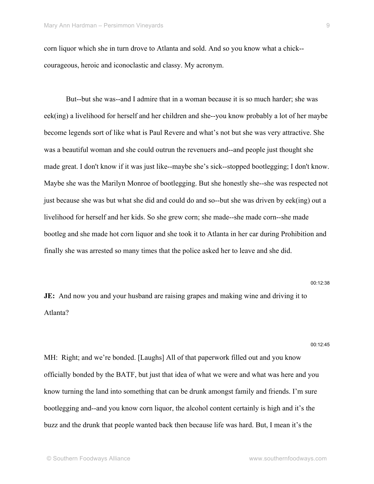corn liquor which she in turn drove to Atlanta and sold. And so you know what a chick- courageous, heroic and iconoclastic and classy. My acronym.

But--but she was--and I admire that in a woman because it is so much harder; she was eek(ing) a livelihood for herself and her children and she--you know probably a lot of her maybe become legends sort of like what is Paul Revere and what's not but she was very attractive. She was a beautiful woman and she could outrun the revenuers and--and people just thought she made great. I don't know if it was just like--maybe she's sick--stopped bootlegging; I don't know. Maybe she was the Marilyn Monroe of bootlegging. But she honestly she--she was respected not just because she was but what she did and could do and so--but she was driven by eek(ing) out a livelihood for herself and her kids. So she grew corn; she made--she made corn--she made bootleg and she made hot corn liquor and she took it to Atlanta in her car during Prohibition and finally she was arrested so many times that the police asked her to leave and she did.

00:12:38

**JE:** And now you and your husband are raising grapes and making wine and driving it to Atlanta?

00:12:45

MH: Right; and we're bonded. [Laughs] All of that paperwork filled out and you know officially bonded by the BATF, but just that idea of what we were and what was here and you know turning the land into something that can be drunk amongst family and friends. I'm sure bootlegging and--and you know corn liquor, the alcohol content certainly is high and it's the buzz and the drunk that people wanted back then because life was hard. But, I mean it's the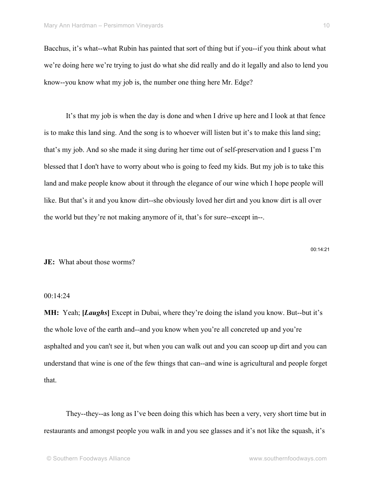Bacchus, it's what--what Rubin has painted that sort of thing but if you--if you think about what we're doing here we're trying to just do what she did really and do it legally and also to lend you know--you know what my job is, the number one thing here Mr. Edge?

It's that my job is when the day is done and when I drive up here and I look at that fence is to make this land sing. And the song is to whoever will listen but it's to make this land sing; that's my job. And so she made it sing during her time out of self-preservation and I guess I'm blessed that I don't have to worry about who is going to feed my kids. But my job is to take this land and make people know about it through the elegance of our wine which I hope people will like. But that's it and you know dirt--she obviously loved her dirt and you know dirt is all over the world but they're not making anymore of it, that's for sure--except in--.

**JE:** What about those worms?

## 00:14:24

**MH:** Yeah; **[***Laughs***]** Except in Dubai, where they're doing the island you know. But--but it's the whole love of the earth and--and you know when you're all concreted up and you're asphalted and you can't see it, but when you can walk out and you can scoop up dirt and you can understand that wine is one of the few things that can--and wine is agricultural and people forget that.

They--they--as long as I've been doing this which has been a very, very short time but in restaurants and amongst people you walk in and you see glasses and it's not like the squash, it's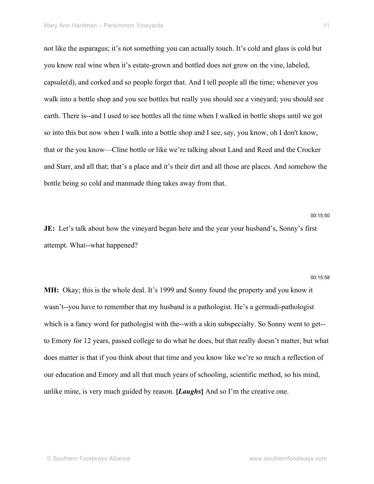not like the asparagus; it's not something you can actually touch. It's cold and glass is cold but you know real wine when it's estate-grown and bottled does not grow on the vine, labeled, capsule(d), and corked and so people forget that. And I tell people all the time; whenever you walk into a bottle shop and you see bottles but really you should see a vineyard; you should see earth. There is--and I used to see bottles all the time when I walked in bottle shops until we got so into this but now when I walk into a bottle shop and I see, say, you know, oh I don't know, that or the you know—Cline bottle or like we're talking about Land and Reed and the Crocker and Starr, and all that; that's a place and it's their dirt and all those are places. And somehow the bottle being so cold and manmade thing takes away from that.

**JE:** Let's talk about how the vineyard began here and the year your husband's, Sonny's first attempt. What--what happened?

#### 00:15:58

00:15:50

**MH:** Okay; this is the whole deal. It's 1999 and Sonny found the property and you know it wasn't--you have to remember that my husband is a pathologist. He's a germadi-pathologist which is a fancy word for pathologist with the--with a skin subspecialty. So Sonny went to get-to Emory for 12 years, passed college to do what he does, but that really doesn't matter, but what does matter is that if you think about that time and you know like we're so much a reflection of our education and Emory and all that much years of schooling, scientific method, so his mind, unlike mine, is very much guided by reason. **[***Laughs***]** And so I'm the creative one.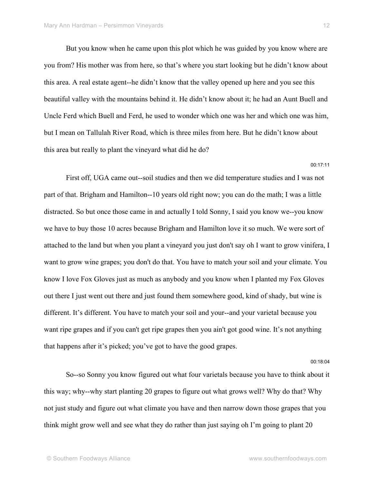But you know when he came upon this plot which he was guided by you know where are you from? His mother was from here, so that's where you start looking but he didn't know about this area. A real estate agent--he didn't know that the valley opened up here and you see this beautiful valley with the mountains behind it. He didn't know about it; he had an Aunt Buell and Uncle Ferd which Buell and Ferd, he used to wonder which one was her and which one was him, but I mean on Tallulah River Road, which is three miles from here. But he didn't know about this area but really to plant the vineyard what did he do?

00:17:11

First off, UGA came out--soil studies and then we did temperature studies and I was not part of that. Brigham and Hamilton--10 years old right now; you can do the math; I was a little distracted. So but once those came in and actually I told Sonny, I said you know we--you know we have to buy those 10 acres because Brigham and Hamilton love it so much. We were sort of attached to the land but when you plant a vineyard you just don't say oh I want to grow vinifera, I want to grow wine grapes; you don't do that. You have to match your soil and your climate. You know I love Fox Gloves just as much as anybody and you know when I planted my Fox Gloves out there I just went out there and just found them somewhere good, kind of shady, but wine is different. It's different. You have to match your soil and your--and your varietal because you want ripe grapes and if you can't get ripe grapes then you ain't got good wine. It's not anything that happens after it's picked; you've got to have the good grapes.

00:18:04

So--so Sonny you know figured out what four varietals because you have to think about it this way; why--why start planting 20 grapes to figure out what grows well? Why do that? Why not just study and figure out what climate you have and then narrow down those grapes that you think might grow well and see what they do rather than just saying oh I'm going to plant 20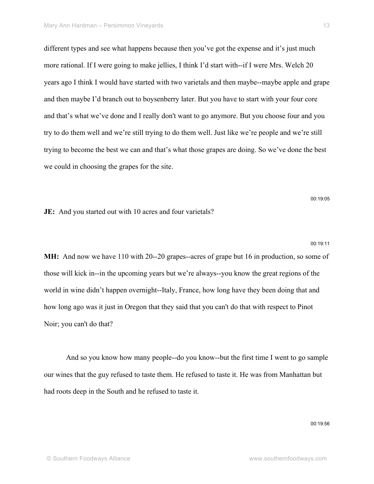different types and see what happens because then you've got the expense and it's just much more rational. If I were going to make jellies, I think I'd start with--if I were Mrs. Welch 20 years ago I think I would have started with two varietals and then maybe--maybe apple and grape and then maybe I'd branch out to boysenberry later. But you have to start with your four core and that's what we've done and I really don't want to go anymore. But you choose four and you try to do them well and we're still trying to do them well. Just like we're people and we're still trying to become the best we can and that's what those grapes are doing. So we've done the best we could in choosing the grapes for the site.

**JE:** And you started out with 10 acres and four varietals?

**MH:** And now we have 110 with 20--20 grapes--acres of grape but 16 in production, so some of those will kick in--in the upcoming years but we're always--you know the great regions of the world in wine didn't happen overnight--Italy, France, how long have they been doing that and how long ago was it just in Oregon that they said that you can't do that with respect to Pinot Noir; you can't do that?

And so you know how many people--do you know--but the first time I went to go sample our wines that the guy refused to taste them. He refused to taste it. He was from Manhattan but had roots deep in the South and he refused to taste it.

00:19:56

00:19:05

00:19:11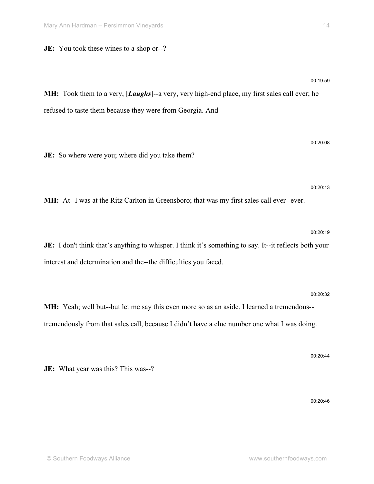**JE:** You took these wines to a shop or--?

© Southern Foodways Alliance www.southernfoodways.com

**MH:** Took them to a very, **[***Laughs***]**--a very, very high-end place, my first sales call ever; he refused to taste them because they were from Georgia. And--

**JE:** So where were you; where did you take them?

**MH:** At--I was at the Ritz Carlton in Greensboro; that was my first sales call ever--ever.

**JE:** I don't think that's anything to whisper. I think it's something to say. It--it reflects both your interest and determination and the--the difficulties you faced.

**MH:** Yeah; well but--but let me say this even more so as an aside. I learned a tremendous- tremendously from that sales call, because I didn't have a clue number one what I was doing.

**JE:** What year was this? This was--?

00:20:08

00:20:13

00:20:19

00:20:32

00:20:44

00:20:46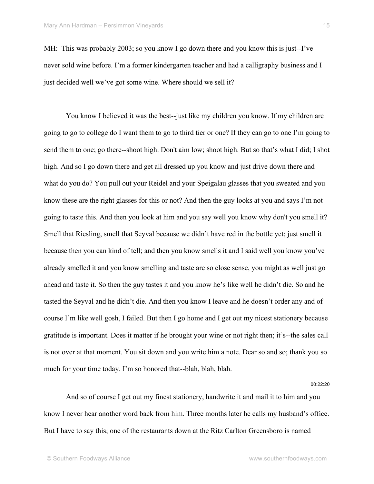MH: This was probably 2003; so you know I go down there and you know this is just--I've never sold wine before. I'm a former kindergarten teacher and had a calligraphy business and I just decided well we've got some wine. Where should we sell it?

You know I believed it was the best--just like my children you know. If my children are going to go to college do I want them to go to third tier or one? If they can go to one I'm going to send them to one; go there--shoot high. Don't aim low; shoot high. But so that's what I did; I shot high. And so I go down there and get all dressed up you know and just drive down there and what do you do? You pull out your Reidel and your Speigalau glasses that you sweated and you know these are the right glasses for this or not? And then the guy looks at you and says I'm not going to taste this. And then you look at him and you say well you know why don't you smell it? Smell that Riesling, smell that Seyval because we didn't have red in the bottle yet; just smell it because then you can kind of tell; and then you know smells it and I said well you know you've already smelled it and you know smelling and taste are so close sense, you might as well just go ahead and taste it. So then the guy tastes it and you know he's like well he didn't die. So and he tasted the Seyval and he didn't die. And then you know I leave and he doesn't order any and of course I'm like well gosh, I failed. But then I go home and I get out my nicest stationery because gratitude is important. Does it matter if he brought your wine or not right then; it's--the sales call is not over at that moment. You sit down and you write him a note. Dear so and so; thank you so much for your time today. I'm so honored that--blah, blah, blah.

00:22:20

And so of course I get out my finest stationery, handwrite it and mail it to him and you know I never hear another word back from him. Three months later he calls my husband's office. But I have to say this; one of the restaurants down at the Ritz Carlton Greensboro is named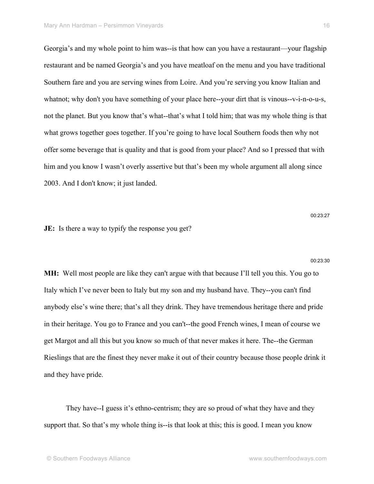Georgia's and my whole point to him was--is that how can you have a restaurant—your flagship restaurant and be named Georgia's and you have meatloaf on the menu and you have traditional Southern fare and you are serving wines from Loire. And you're serving you know Italian and whatnot; why don't you have something of your place here--your dirt that is vinous--v-i-n-o-u-s, not the planet. But you know that's what--that's what I told him; that was my whole thing is that what grows together goes together. If you're going to have local Southern foods then why not offer some beverage that is quality and that is good from your place? And so I pressed that with him and you know I wasn't overly assertive but that's been my whole argument all along since 2003. And I don't know; it just landed.

**JE:** Is there a way to typify the response you get?

00:23:30

00:23:27

**MH:** Well most people are like they can't argue with that because I'll tell you this. You go to Italy which I've never been to Italy but my son and my husband have. They--you can't find anybody else's wine there; that's all they drink. They have tremendous heritage there and pride in their heritage. You go to France and you can't--the good French wines, I mean of course we get Margot and all this but you know so much of that never makes it here. The--the German Rieslings that are the finest they never make it out of their country because those people drink it and they have pride.

They have--I guess it's ethno-centrism; they are so proud of what they have and they support that. So that's my whole thing is--is that look at this; this is good. I mean you know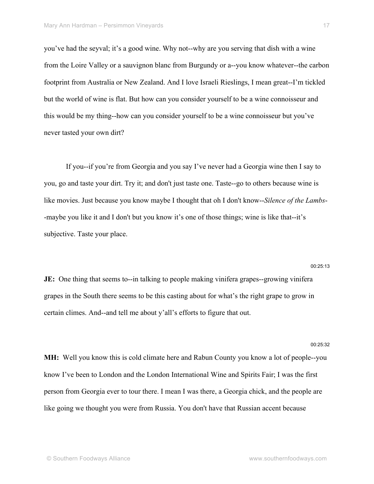you've had the seyval; it's a good wine. Why not--why are you serving that dish with a wine from the Loire Valley or a sauvignon blanc from Burgundy or a--you know whatever--the carbon footprint from Australia or New Zealand. And I love Israeli Rieslings, I mean great--I'm tickled but the world of wine is flat. But how can you consider yourself to be a wine connoisseur and this would be my thing--how can you consider yourself to be a wine connoisseur but you've never tasted your own dirt?

If you--if you're from Georgia and you say I've never had a Georgia wine then I say to you, go and taste your dirt. Try it; and don't just taste one. Taste--go to others because wine is like movies. Just because you know maybe I thought that oh I don't know--*Silence of the Lambs*- -maybe you like it and I don't but you know it's one of those things; wine is like that--it's subjective. Taste your place.

**JE:** One thing that seems to--in talking to people making vinifera grapes--growing vinifera grapes in the South there seems to be this casting about for what's the right grape to grow in certain climes. And--and tell me about y'all's efforts to figure that out.

**MH:** Well you know this is cold climate here and Rabun County you know a lot of people--you know I've been to London and the London International Wine and Spirits Fair; I was the first person from Georgia ever to tour there. I mean I was there, a Georgia chick, and the people are like going we thought you were from Russia. You don't have that Russian accent because

00:25:32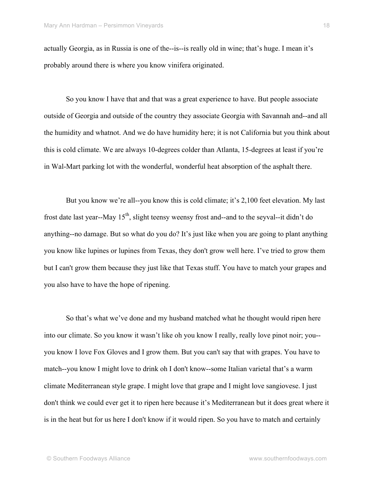actually Georgia, as in Russia is one of the--is--is really old in wine; that's huge. I mean it's probably around there is where you know vinifera originated.

So you know I have that and that was a great experience to have. But people associate outside of Georgia and outside of the country they associate Georgia with Savannah and--and all the humidity and whatnot. And we do have humidity here; it is not California but you think about this is cold climate. We are always 10-degrees colder than Atlanta, 15-degrees at least if you're in Wal-Mart parking lot with the wonderful, wonderful heat absorption of the asphalt there.

But you know we're all--you know this is cold climate; it's 2,100 feet elevation. My last frost date last year--May  $15<sup>th</sup>$ , slight teensy weensy frost and--and to the seyval--it didn't do anything--no damage. But so what do you do? It's just like when you are going to plant anything you know like lupines or lupines from Texas, they don't grow well here. I've tried to grow them but I can't grow them because they just like that Texas stuff. You have to match your grapes and you also have to have the hope of ripening.

So that's what we've done and my husband matched what he thought would ripen here into our climate. So you know it wasn't like oh you know I really, really love pinot noir; you- you know I love Fox Gloves and I grow them. But you can't say that with grapes. You have to match--you know I might love to drink oh I don't know--some Italian varietal that's a warm climate Mediterranean style grape. I might love that grape and I might love sangiovese. I just don't think we could ever get it to ripen here because it's Mediterranean but it does great where it is in the heat but for us here I don't know if it would ripen. So you have to match and certainly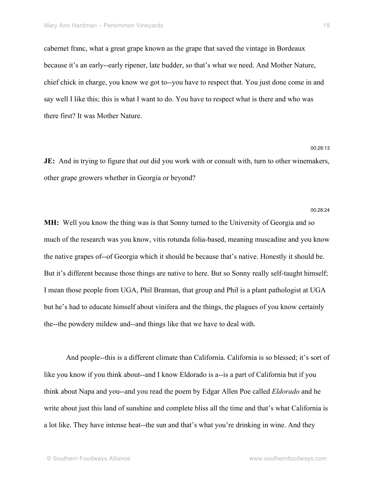cabernet franc, what a great grape known as the grape that saved the vintage in Bordeaux because it's an early--early ripener, late budder, so that's what we need. And Mother Nature, chief chick in charge, you know we got to--you have to respect that. You just done come in and say well I like this; this is what I want to do. You have to respect what is there and who was there first? It was Mother Nature.

**JE:** And in trying to figure that out did you work with or consult with, turn to other winemakers, other grape growers whether in Georgia or beyond?

#### 00:28:24

00:28:13

**MH:** Well you know the thing was is that Sonny turned to the University of Georgia and so much of the research was you know, vitis rotunda folia-based, meaning muscadine and you know the native grapes of--of Georgia which it should be because that's native. Honestly it should be. But it's different because those things are native to here. But so Sonny really self-taught himself; I mean those people from UGA, Phil Brannan, that group and Phil is a plant pathologist at UGA but he's had to educate himself about vinifera and the things, the plagues of you know certainly the--the powdery mildew and--and things like that we have to deal with.

And people--this is a different climate than California. California is so blessed; it's sort of like you know if you think about--and I know Eldorado is a--is a part of California but if you think about Napa and you--and you read the poem by Edgar Allen Poe called *Eldorado* and he write about just this land of sunshine and complete bliss all the time and that's what California is a lot like. They have intense heat--the sun and that's what you're drinking in wine. And they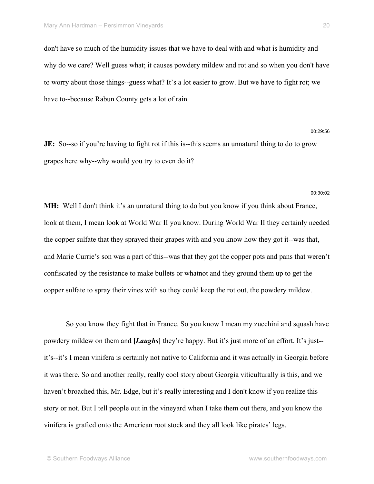don't have so much of the humidity issues that we have to deal with and what is humidity and why do we care? Well guess what; it causes powdery mildew and rot and so when you don't have to worry about those things--guess what? It's a lot easier to grow. But we have to fight rot; we have to--because Rabun County gets a lot of rain.

**JE:** So--so if you're having to fight rot if this is--this seems an unnatural thing to do to grow grapes here why--why would you try to even do it?

**MH:** Well I don't think it's an unnatural thing to do but you know if you think about France, look at them, I mean look at World War II you know. During World War II they certainly needed the copper sulfate that they sprayed their grapes with and you know how they got it--was that, and Marie Currie's son was a part of this--was that they got the copper pots and pans that weren't confiscated by the resistance to make bullets or whatnot and they ground them up to get the copper sulfate to spray their vines with so they could keep the rot out, the powdery mildew.

So you know they fight that in France. So you know I mean my zucchini and squash have powdery mildew on them and **[***Laughs***]** they're happy. But it's just more of an effort. It's just- it's--it's I mean vinifera is certainly not native to California and it was actually in Georgia before it was there. So and another really, really cool story about Georgia viticulturally is this, and we haven't broached this, Mr. Edge, but it's really interesting and I don't know if you realize this story or not. But I tell people out in the vineyard when I take them out there, and you know the vinifera is grafted onto the American root stock and they all look like pirates' legs.

00:29:56

00:30:02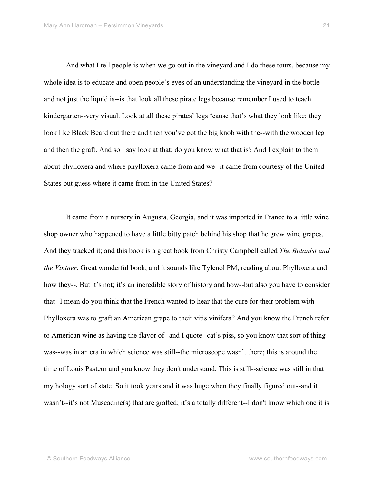And what I tell people is when we go out in the vineyard and I do these tours, because my whole idea is to educate and open people's eyes of an understanding the vineyard in the bottle and not just the liquid is--is that look all these pirate legs because remember I used to teach kindergarten--very visual. Look at all these pirates' legs 'cause that's what they look like; they look like Black Beard out there and then you've got the big knob with the--with the wooden leg and then the graft. And so I say look at that; do you know what that is? And I explain to them about phylloxera and where phylloxera came from and we--it came from courtesy of the United States but guess where it came from in the United States?

It came from a nursery in Augusta, Georgia, and it was imported in France to a little wine shop owner who happened to have a little bitty patch behind his shop that he grew wine grapes. And they tracked it; and this book is a great book from Christy Campbell called *The Botanist and the Vintner*. Great wonderful book, and it sounds like Tylenol PM, reading about Phylloxera and how they--. But it's not; it's an incredible story of history and how--but also you have to consider that--I mean do you think that the French wanted to hear that the cure for their problem with Phylloxera was to graft an American grape to their vitis vinifera? And you know the French refer to American wine as having the flavor of--and I quote--cat's piss, so you know that sort of thing was--was in an era in which science was still--the microscope wasn't there; this is around the time of Louis Pasteur and you know they don't understand. This is still--science was still in that mythology sort of state. So it took years and it was huge when they finally figured out--and it wasn't--it's not Muscadine(s) that are grafted; it's a totally different--I don't know which one it is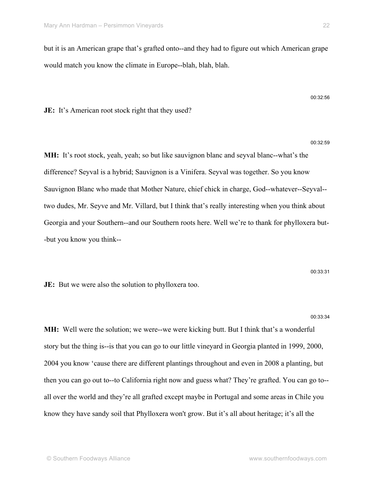but it is an American grape that's grafted onto--and they had to figure out which American grape would match you know the climate in Europe--blah, blah, blah.

**JE:** It's American root stock right that they used?

**MH:** It's root stock, yeah, yeah; so but like sauvignon blanc and seyval blanc--what's the difference? Seyval is a hybrid; Sauvignon is a Vinifera. Seyval was together. So you know Sauvignon Blanc who made that Mother Nature, chief chick in charge, God--whatever--Seyval- two dudes, Mr. Seyve and Mr. Villard, but I think that's really interesting when you think about Georgia and your Southern--and our Southern roots here. Well we're to thank for phylloxera but- -but you know you think--

**JE:** But we were also the solution to phylloxera too.

**MH:** Well were the solution; we were--we were kicking butt. But I think that's a wonderful story but the thing is--is that you can go to our little vineyard in Georgia planted in 1999, 2000, 2004 you know 'cause there are different plantings throughout and even in 2008 a planting, but then you can go out to--to California right now and guess what? They're grafted. You can go to- all over the world and they're all grafted except maybe in Portugal and some areas in Chile you know they have sandy soil that Phylloxera won't grow. But it's all about heritage; it's all the

## 00:33:34

00:33:31

00:32:56

00:32:59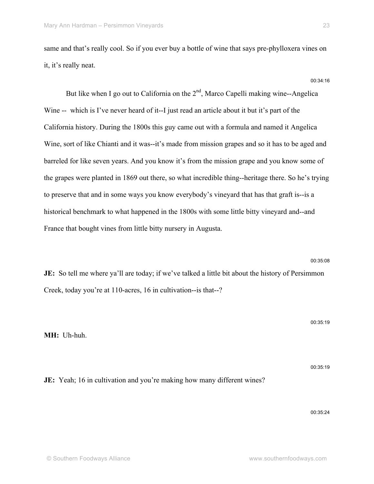same and that's really cool. So if you ever buy a bottle of wine that says pre-phylloxera vines on it, it's really neat.

00:34:16

But like when I go out to California on the  $2<sup>nd</sup>$ , Marco Capelli making wine--Angelica Wine -- which is I've never heard of it--I just read an article about it but it's part of the California history. During the 1800s this guy came out with a formula and named it Angelica Wine, sort of like Chianti and it was--it's made from mission grapes and so it has to be aged and barreled for like seven years. And you know it's from the mission grape and you know some of the grapes were planted in 1869 out there, so what incredible thing--heritage there. So he's trying to preserve that and in some ways you know everybody's vineyard that has that graft is--is a historical benchmark to what happened in the 1800s with some little bitty vineyard and--and France that bought vines from little bitty nursery in Augusta.

**JE:** So tell me where ya'll are today; if we've talked a little bit about the history of Persimmon Creek, today you're at 110-acres, 16 in cultivation--is that--?

**MH:** Uh-huh.

**JE:** Yeah; 16 in cultivation and you're making how many different wines?

00:35:19

00:35:19

00:35:08

00:35:24

23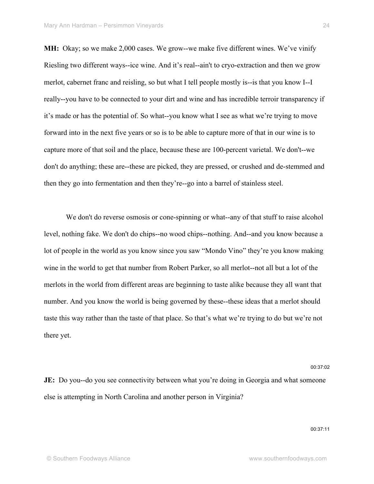**MH:** Okay; so we make 2,000 cases. We grow--we make five different wines. We've vinify Riesling two different ways--ice wine. And it's real--ain't to cryo-extraction and then we grow merlot, cabernet franc and reisling, so but what I tell people mostly is--is that you know I--I really--you have to be connected to your dirt and wine and has incredible terroir transparency if it's made or has the potential of. So what--you know what I see as what we're trying to move forward into in the next five years or so is to be able to capture more of that in our wine is to capture more of that soil and the place, because these are 100-percent varietal. We don't--we don't do anything; these are--these are picked, they are pressed, or crushed and de-stemmed and then they go into fermentation and then they're--go into a barrel of stainless steel.

We don't do reverse osmosis or cone-spinning or what--any of that stuff to raise alcohol level, nothing fake. We don't do chips--no wood chips--nothing. And--and you know because a lot of people in the world as you know since you saw "Mondo Vino" they're you know making wine in the world to get that number from Robert Parker, so all merlot--not all but a lot of the merlots in the world from different areas are beginning to taste alike because they all want that number. And you know the world is being governed by these--these ideas that a merlot should taste this way rather than the taste of that place. So that's what we're trying to do but we're not there yet.

**JE:** Do you--do you see connectivity between what you're doing in Georgia and what someone else is attempting in North Carolina and another person in Virginia?

00:37:11

00:37:02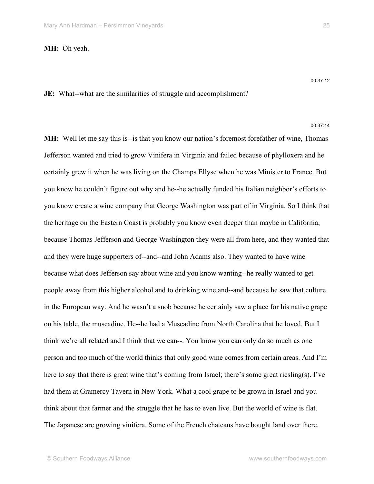**MH:** Oh yeah.

00:37:12

### **JE:** What--what are the similarities of struggle and accomplishment?

00:37:14

**MH:** Well let me say this is--is that you know our nation's foremost forefather of wine, Thomas Jefferson wanted and tried to grow Vinifera in Virginia and failed because of phylloxera and he certainly grew it when he was living on the Champs Ellyse when he was Minister to France. But you know he couldn't figure out why and he--he actually funded his Italian neighbor's efforts to you know create a wine company that George Washington was part of in Virginia. So I think that the heritage on the Eastern Coast is probably you know even deeper than maybe in California, because Thomas Jefferson and George Washington they were all from here, and they wanted that and they were huge supporters of--and--and John Adams also. They wanted to have wine because what does Jefferson say about wine and you know wanting--he really wanted to get people away from this higher alcohol and to drinking wine and--and because he saw that culture in the European way. And he wasn't a snob because he certainly saw a place for his native grape on his table, the muscadine. He--he had a Muscadine from North Carolina that he loved. But I think we're all related and I think that we can--. You know you can only do so much as one person and too much of the world thinks that only good wine comes from certain areas. And I'm here to say that there is great wine that's coming from Israel; there's some great riesling(s). I've had them at Gramercy Tavern in New York. What a cool grape to be grown in Israel and you think about that farmer and the struggle that he has to even live. But the world of wine is flat. The Japanese are growing vinifera. Some of the French chateaus have bought land over there.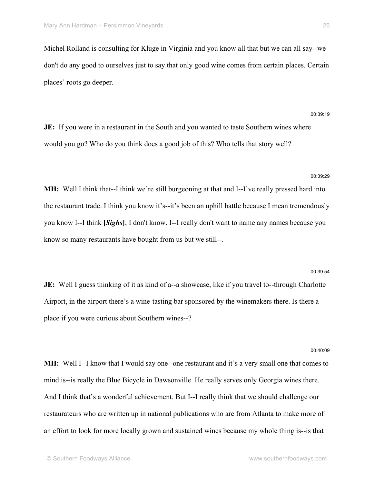Michel Rolland is consulting for Kluge in Virginia and you know all that but we can all say--we don't do any good to ourselves just to say that only good wine comes from certain places. Certain places' roots go deeper.

**JE:** If you were in a restaurant in the South and you wanted to taste Southern wines where would you go? Who do you think does a good job of this? Who tells that story well?

#### 00:39:29

00:39:54

00:40:09

00:39:19

**MH:** Well I think that--I think we're still burgeoning at that and I--I've really pressed hard into the restaurant trade. I think you know it's--it's been an uphill battle because I mean tremendously you know I--I think **[***Sighs***]**; I don't know. I--I really don't want to name any names because you know so many restaurants have bought from us but we still--.

**JE:** Well I guess thinking of it as kind of a--a showcase, like if you travel to--through Charlotte Airport, in the airport there's a wine-tasting bar sponsored by the winemakers there. Is there a place if you were curious about Southern wines--?

**MH:** Well I--I know that I would say one--one restaurant and it's a very small one that comes to mind is--is really the Blue Bicycle in Dawsonville. He really serves only Georgia wines there. And I think that's a wonderful achievement. But I--I really think that we should challenge our restaurateurs who are written up in national publications who are from Atlanta to make more of an effort to look for more locally grown and sustained wines because my whole thing is--is that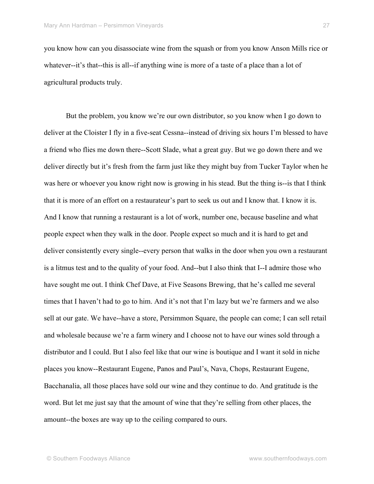you know how can you disassociate wine from the squash or from you know Anson Mills rice or whatever--it's that--this is all--if anything wine is more of a taste of a place than a lot of agricultural products truly.

But the problem, you know we're our own distributor, so you know when I go down to deliver at the Cloister I fly in a five-seat Cessna--instead of driving six hours I'm blessed to have a friend who flies me down there--Scott Slade, what a great guy. But we go down there and we deliver directly but it's fresh from the farm just like they might buy from Tucker Taylor when he was here or whoever you know right now is growing in his stead. But the thing is--is that I think that it is more of an effort on a restaurateur's part to seek us out and I know that. I know it is. And I know that running a restaurant is a lot of work, number one, because baseline and what people expect when they walk in the door. People expect so much and it is hard to get and deliver consistently every single--every person that walks in the door when you own a restaurant is a litmus test and to the quality of your food. And--but I also think that I--I admire those who have sought me out. I think Chef Dave, at Five Seasons Brewing, that he's called me several times that I haven't had to go to him. And it's not that I'm lazy but we're farmers and we also sell at our gate. We have--have a store, Persimmon Square, the people can come; I can sell retail and wholesale because we're a farm winery and I choose not to have our wines sold through a distributor and I could. But I also feel like that our wine is boutique and I want it sold in niche places you know--Restaurant Eugene, Panos and Paul's, Nava, Chops, Restaurant Eugene, Bacchanalia, all those places have sold our wine and they continue to do. And gratitude is the word. But let me just say that the amount of wine that they're selling from other places, the amount--the boxes are way up to the ceiling compared to ours.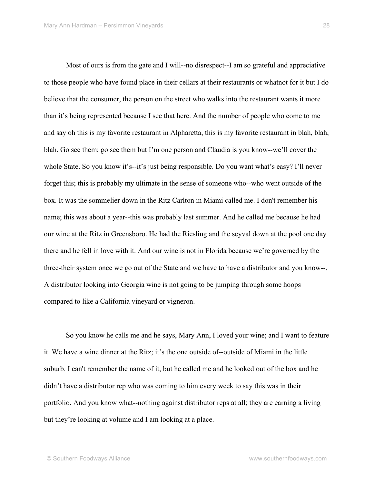Most of ours is from the gate and I will--no disrespect--I am so grateful and appreciative to those people who have found place in their cellars at their restaurants or whatnot for it but I do believe that the consumer, the person on the street who walks into the restaurant wants it more than it's being represented because I see that here. And the number of people who come to me and say oh this is my favorite restaurant in Alpharetta, this is my favorite restaurant in blah, blah, blah. Go see them; go see them but I'm one person and Claudia is you know--we'll cover the whole State. So you know it's--it's just being responsible. Do you want what's easy? I'll never forget this; this is probably my ultimate in the sense of someone who--who went outside of the box. It was the sommelier down in the Ritz Carlton in Miami called me. I don't remember his name; this was about a year--this was probably last summer. And he called me because he had our wine at the Ritz in Greensboro. He had the Riesling and the seyval down at the pool one day there and he fell in love with it. And our wine is not in Florida because we're governed by the three-their system once we go out of the State and we have to have a distributor and you know--. A distributor looking into Georgia wine is not going to be jumping through some hoops compared to like a California vineyard or vigneron.

So you know he calls me and he says, Mary Ann, I loved your wine; and I want to feature it. We have a wine dinner at the Ritz; it's the one outside of--outside of Miami in the little suburb. I can't remember the name of it, but he called me and he looked out of the box and he didn't have a distributor rep who was coming to him every week to say this was in their portfolio. And you know what--nothing against distributor reps at all; they are earning a living but they're looking at volume and I am looking at a place.